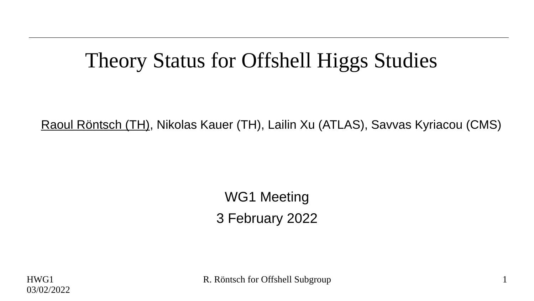## Theory Status for Offshell Higgs Studies

Raoul Röntsch (TH), Nikolas Kauer (TH), Lailin Xu (ATLAS), Savvas Kyriacou (CMS)

WG1 Meeting 3 February 2022

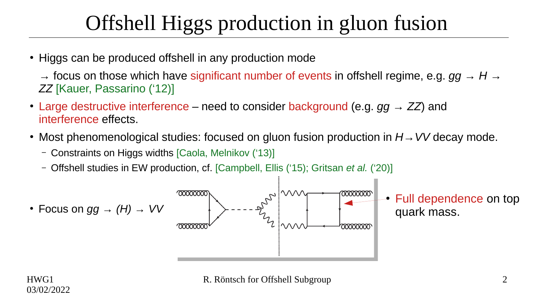# Offshell Higgs production in gluon fusion

• Higgs can be produced offshell in any production mode

→ focus on those which have significant number of events in offshell regime, e.g. *gg → H → ZZ* [Kauer, Passarino ('12)]

- Large destructive interference need to consider background (e.g.  $qq \rightarrow ZZ$ ) and interference effects.
- Most phenomenological studies: focused on gluon fusion production in *H* → *VV* decay mode.
	- Constraints on Higgs widths [Caola, Melnikov ('13)]
	- Offshell studies in EW production, cf. [Campbell, Ellis ('15); Gritsan *et al.* ('20)]

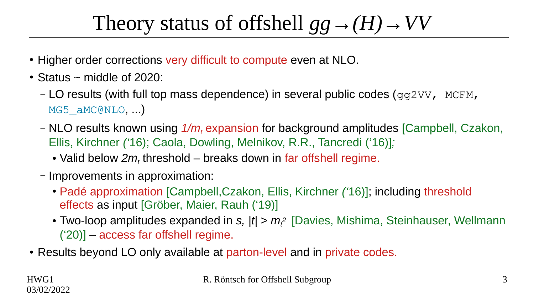# Theory status of offshell  $qq \rightarrow (H) \rightarrow VV$

- Higher order corrections very difficult to compute even at NLO.
- $\cdot$  Status ~ middle of 2020:
	- LO results (with full top mass dependence) in several public codes ( $qq2VV$ , MCFM, MG5 aMC@NLO, ...)
	- NLO results known using *1/m<sup>t</sup>* expansion for background amplitudes [Campbell, Czakon, Ellis, Kirchner *('*16); Caola, Dowling, Melnikov, R.R., Tancredi ('16)]*;*
		- $\bullet$  Valid below  $2m_t$  threshold breaks down in far offshell regime.
	- Improvements in approximation:
		- Padé approximation [Campbell,Czakon, Ellis, Kirchner *('*16)]; including threshold effects as input [Gröber, Maier, Rauh ('19)]
		- Two-loop amplitudes expanded in *s, |t| > m<sup>t</sup> <sup>2</sup>*[Davies, Mishima, Steinhauser, Wellmann ('20)] – access far offshell regime.
- Results beyond LO only available at parton-level and in private codes.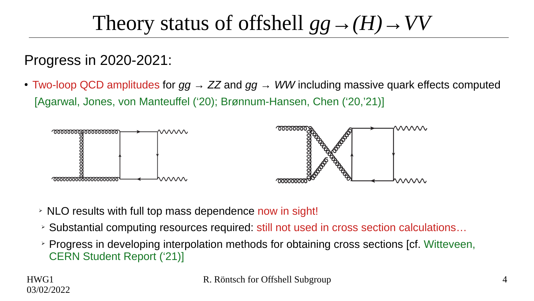### Theory status of offshell  $gg \rightarrow (H) \rightarrow VV$

Progress in 2020-2021:

• Two-loop QCD amplitudes for  $gg \to ZZ$  and  $gg \to WW$  including massive quark effects computed [Agarwal, Jones, von Manteuffel ('20); Brønnum-Hansen, Chen ('20,'21)]



- ➢ NLO results with full top mass dependence now in sight!
- ➢ Substantial computing resources required: still not used in cross section calculations…
- ➢ Progress in developing interpolation methods for obtaining cross sections [cf. Witteveen, CERN Student Report ('21)]

HWG1 03/02/2022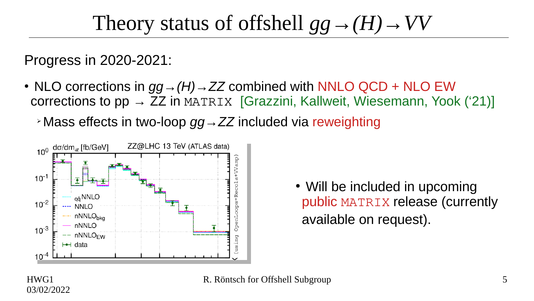### Theory status of offshell  $gg \rightarrow (H) \rightarrow VV$

Progress in 2020-2021:

- NLO corrections in  $gg \rightarrow (H) \rightarrow ZZ$  combined with NNLO QCD + NLO EW corrections to  $pp \rightarrow ZZ$  in MATRIX [Grazzini, Kallweit, Wiesemann, Yook ('21)]
	- ➢Mass effects in two-loop *gg→ZZ* included via reweighting



• Will be included in upcoming public MATRIX release (currently available on request).

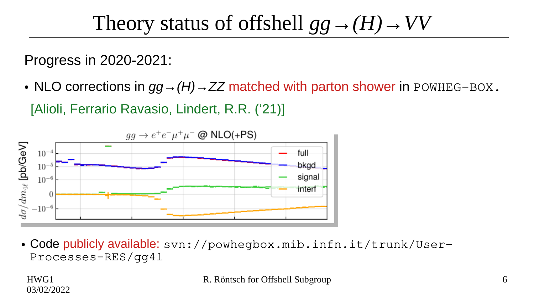#### Theory status of offshell  $gg \rightarrow (H) \rightarrow VV$

Progress in 2020-2021:

• NLO corrections in  $gg \rightarrow (H) \rightarrow ZZ$  matched with parton shower in POWHEG-BOX. [Alioli, Ferrario Ravasio, Lindert, R.R. ('21)]



• Code publicly available: svn://powhegbox.mib.infn.it/trunk/User-Processes-RES/gg4l

HWG1 03/02/2022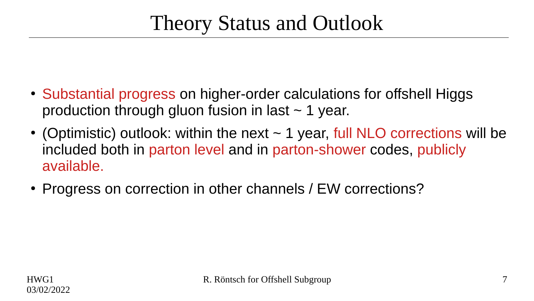- Substantial progress on higher-order calculations for offshell Higgs production through gluon fusion in last  $\sim$  1 year.
- (Optimistic) outlook: within the next  $\sim$  1 year, full NLO corrections will be included both in parton level and in parton-shower codes, publicly available.
- Progress on correction in other channels / EW corrections?